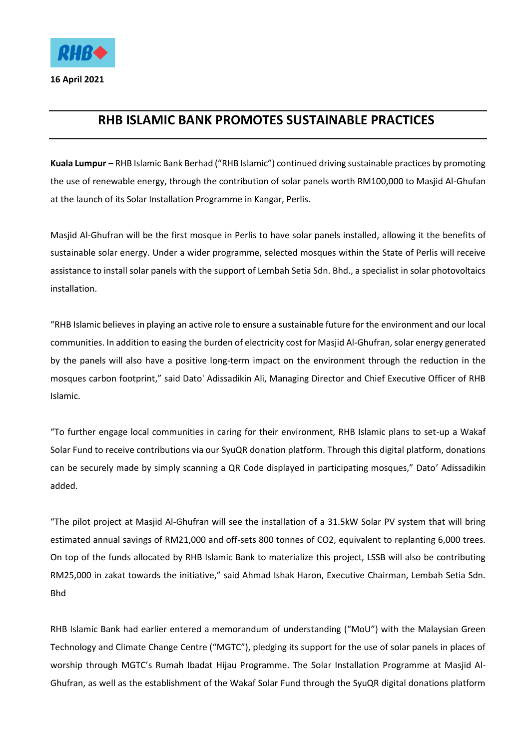

**16 April 2021** 

## **RHB ISLAMIC BANK PROMOTES SUSTAINABLE PRACTICES**

**Kuala Lumpur** – RHB Islamic Bank Berhad ("RHB Islamic") continued driving sustainable practices by promoting the use of renewable energy, through the contribution of solar panels worth RM100,000 to Masjid Al-Ghufan at the launch of its Solar Installation Programme in Kangar, Perlis.

Masjid Al-Ghufran will be the first mosque in Perlis to have solar panels installed, allowing it the benefits of sustainable solar energy. Under a wider programme, selected mosques within the State of Perlis will receive assistance to install solar panels with the support of Lembah Setia Sdn. Bhd., a specialist in solar photovoltaics installation.

"RHB Islamic believes in playing an active role to ensure a sustainable future for the environment and our local communities. In addition to easing the burden of electricity cost for Masjid Al-Ghufran, solar energy generated by the panels will also have a positive long-term impact on the environment through the reduction in the mosques carbon footprint," said Dato' Adissadikin Ali, Managing Director and Chief Executive Officer of RHB Islamic.

"To further engage local communities in caring for their environment, RHB Islamic plans to set-up a Wakaf Solar Fund to receive contributions via our SyuQR donation platform. Through this digital platform, donations can be securely made by simply scanning a QR Code displayed in participating mosques," Dato' Adissadikin added.

"The pilot project at Masjid Al-Ghufran will see the installation of a 31.5kW Solar PV system that will bring estimated annual savings of RM21,000 and off-sets 800 tonnes of CO2, equivalent to replanting 6,000 trees. On top of the funds allocated by RHB Islamic Bank to materialize this project, LSSB will also be contributing RM25,000 in zakat towards the initiative," said Ahmad Ishak Haron, Executive Chairman, Lembah Setia Sdn. Bhd

RHB Islamic Bank had earlier entered a memorandum of understanding ("MoU") with the Malaysian Green Technology and Climate Change Centre ("MGTC"), pledging its support for the use of solar panels in places of worship through MGTC's Rumah Ibadat Hijau Programme. The Solar Installation Programme at Masjid Al-Ghufran, as well as the establishment of the Wakaf Solar Fund through the SyuQR digital donations platform